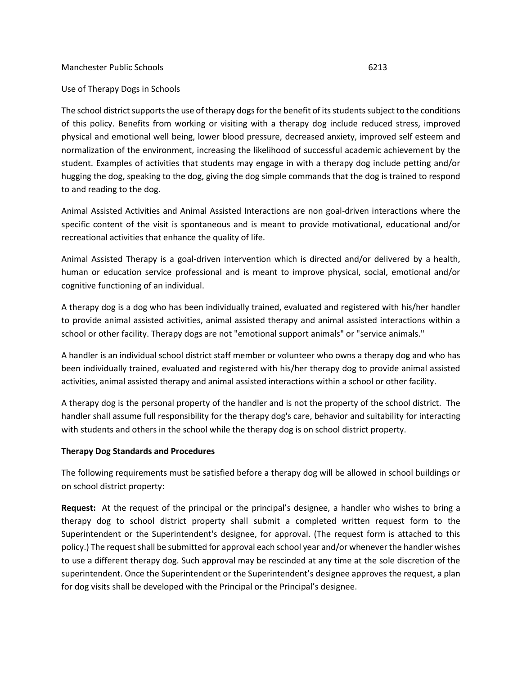## Manchester Public Schools 6213

## Use of Therapy Dogs in Schools

The school district supports the use of therapy dogs for the benefit of its students subject to the conditions of this policy. Benefits from working or visiting with a therapy dog include reduced stress, improved physical and emotional well being, lower blood pressure, decreased anxiety, improved self esteem and normalization of the environment, increasing the likelihood of successful academic achievement by the student. Examples of activities that students may engage in with a therapy dog include petting and/or hugging the dog, speaking to the dog, giving the dog simple commands that the dog is trained to respond to and reading to the dog.

Animal Assisted Activities and Animal Assisted Interactions are non goal-driven interactions where the specific content of the visit is spontaneous and is meant to provide motivational, educational and/or recreational activities that enhance the quality of life.

Animal Assisted Therapy is a goal-driven intervention which is directed and/or delivered by a health, human or education service professional and is meant to improve physical, social, emotional and/or cognitive functioning of an individual.

A therapy dog is a dog who has been individually trained, evaluated and registered with his/her handler to provide animal assisted activities, animal assisted therapy and animal assisted interactions within a school or other facility. Therapy dogs are not "emotional support animals" or "service animals."

A handler is an individual school district staff member or volunteer who owns a therapy dog and who has been individually trained, evaluated and registered with his/her therapy dog to provide animal assisted activities, animal assisted therapy and animal assisted interactions within a school or other facility.

A therapy dog is the personal property of the handler and is not the property of the school district. The handler shall assume full responsibility for the therapy dog's care, behavior and suitability for interacting with students and others in the school while the therapy dog is on school district property.

## **Therapy Dog Standards and Procedures**

The following requirements must be satisfied before a therapy dog will be allowed in school buildings or on school district property:

**Request:** At the request of the principal or the principal's designee, a handler who wishes to bring a therapy dog to school district property shall submit a completed written request form to the Superintendent or the Superintendent's designee, for approval. (The request form is attached to this policy.) The request shall be submitted for approval each school year and/or whenever the handler wishes to use a different therapy dog. Such approval may be rescinded at any time at the sole discretion of the superintendent. Once the Superintendent or the Superintendent's designee approves the request, a plan for dog visits shall be developed with the Principal or the Principal's designee.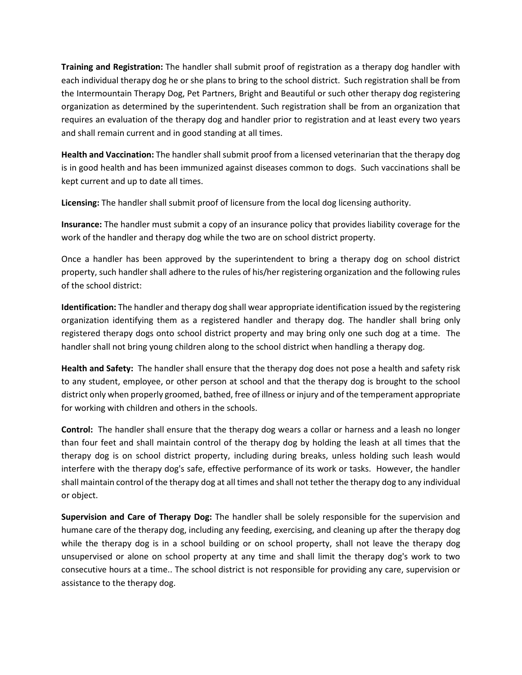**Training and Registration:** The handler shall submit proof of registration as a therapy dog handler with each individual therapy dog he or she plans to bring to the school district. Such registration shall be from the Intermountain Therapy Dog, Pet Partners, Bright and Beautiful or such other therapy dog registering organization as determined by the superintendent. Such registration shall be from an organization that requires an evaluation of the therapy dog and handler prior to registration and at least every two years and shall remain current and in good standing at all times.

**Health and Vaccination:** The handler shall submit proof from a licensed veterinarian that the therapy dog is in good health and has been immunized against diseases common to dogs. Such vaccinations shall be kept current and up to date all times.

**Licensing:** The handler shall submit proof of licensure from the local dog licensing authority.

**Insurance:** The handler must submit a copy of an insurance policy that provides liability coverage for the work of the handler and therapy dog while the two are on school district property.

Once a handler has been approved by the superintendent to bring a therapy dog on school district property, such handler shall adhere to the rules of his/her registering organization and the following rules of the school district:

**Identification:** The handler and therapy dog shall wear appropriate identification issued by the registering organization identifying them as a registered handler and therapy dog. The handler shall bring only registered therapy dogs onto school district property and may bring only one such dog at a time. The handler shall not bring young children along to the school district when handling a therapy dog.

**Health and Safety:** The handler shall ensure that the therapy dog does not pose a health and safety risk to any student, employee, or other person at school and that the therapy dog is brought to the school district only when properly groomed, bathed, free of illness or injury and of the temperament appropriate for working with children and others in the schools.

**Control:** The handler shall ensure that the therapy dog wears a collar or harness and a leash no longer than four feet and shall maintain control of the therapy dog by holding the leash at all times that the therapy dog is on school district property, including during breaks, unless holding such leash would interfere with the therapy dog's safe, effective performance of its work or tasks. However, the handler shall maintain control of the therapy dog at all times and shall not tether the therapy dog to any individual or object.

**Supervision and Care of Therapy Dog:** The handler shall be solely responsible for the supervision and humane care of the therapy dog, including any feeding, exercising, and cleaning up after the therapy dog while the therapy dog is in a school building or on school property, shall not leave the therapy dog unsupervised or alone on school property at any time and shall limit the therapy dog's work to two consecutive hours at a time.. The school district is not responsible for providing any care, supervision or assistance to the therapy dog.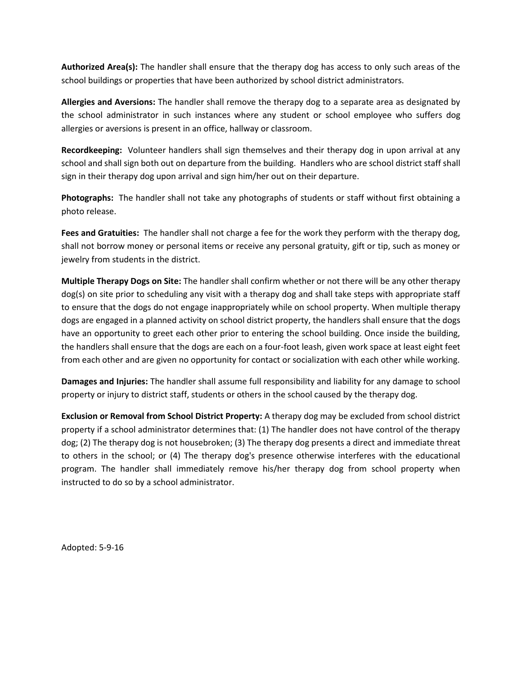**Authorized Area(s):** The handler shall ensure that the therapy dog has access to only such areas of the school buildings or properties that have been authorized by school district administrators.

**Allergies and Aversions:** The handler shall remove the therapy dog to a separate area as designated by the school administrator in such instances where any student or school employee who suffers dog allergies or aversions is present in an office, hallway or classroom.

**Recordkeeping:** Volunteer handlers shall sign themselves and their therapy dog in upon arrival at any school and shall sign both out on departure from the building. Handlers who are school district staff shall sign in their therapy dog upon arrival and sign him/her out on their departure.

**Photographs:** The handler shall not take any photographs of students or staff without first obtaining a photo release.

**Fees and Gratuities:** The handler shall not charge a fee for the work they perform with the therapy dog, shall not borrow money or personal items or receive any personal gratuity, gift or tip, such as money or jewelry from students in the district.

**Multiple Therapy Dogs on Site:** The handler shall confirm whether or not there will be any other therapy dog(s) on site prior to scheduling any visit with a therapy dog and shall take steps with appropriate staff to ensure that the dogs do not engage inappropriately while on school property. When multiple therapy dogs are engaged in a planned activity on school district property, the handlers shall ensure that the dogs have an opportunity to greet each other prior to entering the school building. Once inside the building, the handlers shall ensure that the dogs are each on a four-foot leash, given work space at least eight feet from each other and are given no opportunity for contact or socialization with each other while working.

**Damages and Injuries:** The handler shall assume full responsibility and liability for any damage to school property or injury to district staff, students or others in the school caused by the therapy dog.

**Exclusion or Removal from School District Property:** A therapy dog may be excluded from school district property if a school administrator determines that: (1) The handler does not have control of the therapy dog; (2) The therapy dog is not housebroken; (3) The therapy dog presents a direct and immediate threat to others in the school; or (4) The therapy dog's presence otherwise interferes with the educational program. The handler shall immediately remove his/her therapy dog from school property when instructed to do so by a school administrator.

Adopted: 5-9-16